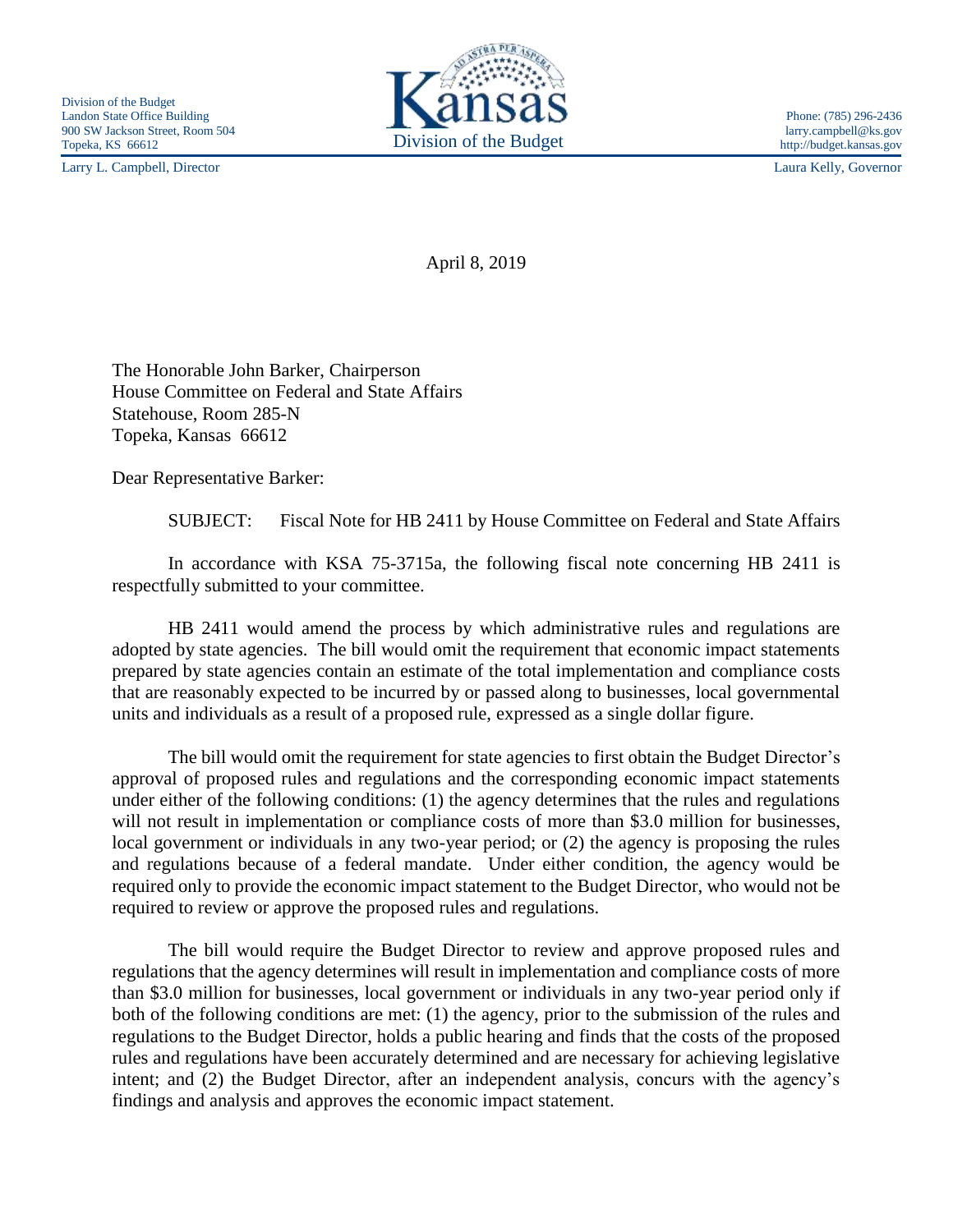Larry L. Campbell, Director Laura Kelly, Governor



http://budget.kansas.gov

April 8, 2019

The Honorable John Barker, Chairperson House Committee on Federal and State Affairs Statehouse, Room 285-N Topeka, Kansas 66612

Dear Representative Barker:

SUBJECT: Fiscal Note for HB 2411 by House Committee on Federal and State Affairs

In accordance with KSA 75-3715a, the following fiscal note concerning HB 2411 is respectfully submitted to your committee.

HB 2411 would amend the process by which administrative rules and regulations are adopted by state agencies. The bill would omit the requirement that economic impact statements prepared by state agencies contain an estimate of the total implementation and compliance costs that are reasonably expected to be incurred by or passed along to businesses, local governmental units and individuals as a result of a proposed rule, expressed as a single dollar figure.

The bill would omit the requirement for state agencies to first obtain the Budget Director's approval of proposed rules and regulations and the corresponding economic impact statements under either of the following conditions: (1) the agency determines that the rules and regulations will not result in implementation or compliance costs of more than \$3.0 million for businesses, local government or individuals in any two-year period; or (2) the agency is proposing the rules and regulations because of a federal mandate. Under either condition, the agency would be required only to provide the economic impact statement to the Budget Director, who would not be required to review or approve the proposed rules and regulations.

The bill would require the Budget Director to review and approve proposed rules and regulations that the agency determines will result in implementation and compliance costs of more than \$3.0 million for businesses, local government or individuals in any two-year period only if both of the following conditions are met: (1) the agency, prior to the submission of the rules and regulations to the Budget Director, holds a public hearing and finds that the costs of the proposed rules and regulations have been accurately determined and are necessary for achieving legislative intent; and (2) the Budget Director, after an independent analysis, concurs with the agency's findings and analysis and approves the economic impact statement.